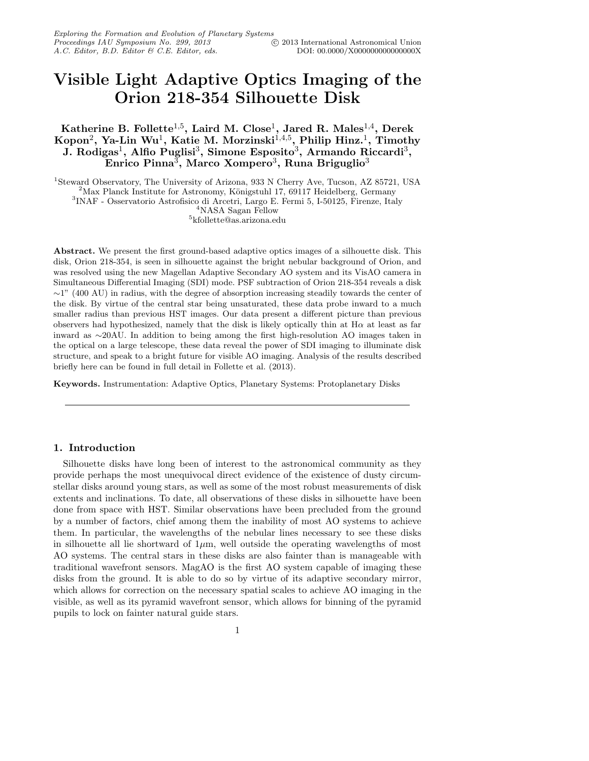# Visible Light Adaptive Optics Imaging of the Orion 218-354 Silhouette Disk

Katherine B. Follette $^{1,5}$ , Laird M. Close $^1$ , Jared R. Males $^{1,4}$ , Derek Kopon $^2$ , Ya-Lin Wu $^1$ , Katie M. Morzinski $^{1,4,5}$ , Philip Hinz. $^1$ , Timothy J. Rodigas<sup>1</sup>, Alfio Puglisi<sup>3</sup>, Simone Esposito<sup>3</sup>, Armando Riccardi<sup>3</sup>, Enrico Pinna $^3$ , Marco Xompero $^3$ , Runa Briguglio $^3$ 

<sup>1</sup>Steward Observatory, The University of Arizona, 933 N Cherry Ave, Tucson, AZ 85721, USA <sup>2</sup>Max Planck Institute for Astronomy, Königstuhl 17, 69117 Heidelberg, Germany 3 INAF - Osservatorio Astrofisico di Arcetri, Largo E. Fermi 5, I-50125, Firenze, Italy <sup>4</sup>NASA Sagan Fellow

5 kfollette@as.arizona.edu

Abstract. We present the first ground-based adaptive optics images of a silhouette disk. This disk, Orion 218-354, is seen in silhouette against the bright nebular background of Orion, and was resolved using the new Magellan Adaptive Secondary AO system and its VisAO camera in Simultaneous Differential Imaging (SDI) mode. PSF subtraction of Orion 218-354 reveals a disk ∼1" (400 AU) in radius, with the degree of absorption increasing steadily towards the center of the disk. By virtue of the central star being unsaturated, these data probe inward to a much smaller radius than previous HST images. Our data present a different picture than previous observers had hypothesized, namely that the disk is likely optically thin at H $\alpha$  at least as far inward as ∼20AU. In addition to being among the first high-resolution AO images taken in the optical on a large telescope, these data reveal the power of SDI imaging to illuminate disk structure, and speak to a bright future for visible AO imaging. Analysis of the results described briefly here can be found in full detail in Follette et al. (2013).

Keywords. Instrumentation: Adaptive Optics, Planetary Systems: Protoplanetary Disks

### 1. Introduction

Silhouette disks have long been of interest to the astronomical community as they provide perhaps the most unequivocal direct evidence of the existence of dusty circumstellar disks around young stars, as well as some of the most robust measurements of disk extents and inclinations. To date, all observations of these disks in silhouette have been done from space with HST. Similar observations have been precluded from the ground by a number of factors, chief among them the inability of most AO systems to achieve them. In particular, the wavelengths of the nebular lines necessary to see these disks in silhouette all lie shortward of  $1\mu$ m, well outside the operating wavelengths of most AO systems. The central stars in these disks are also fainter than is manageable with traditional wavefront sensors. MagAO is the first AO system capable of imaging these disks from the ground. It is able to do so by virtue of its adaptive secondary mirror, which allows for correction on the necessary spatial scales to achieve AO imaging in the visible, as well as its pyramid wavefront sensor, which allows for binning of the pyramid pupils to lock on fainter natural guide stars.